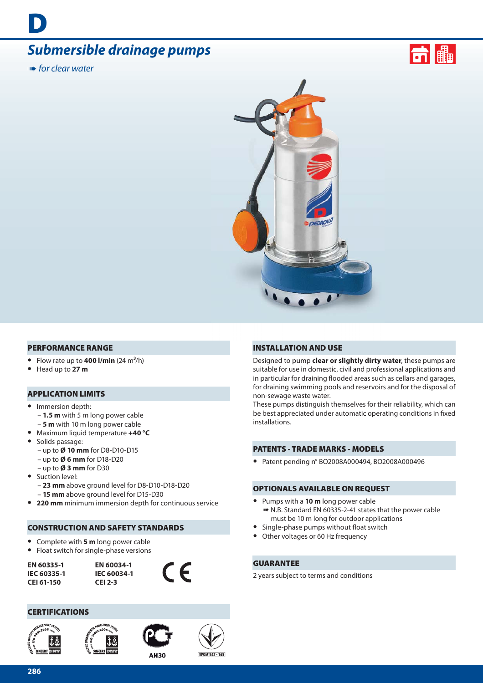# *Submersible drainage pumps*

**IIIII** for clear water

**D**





#### **PERFORMANCE RANGE**

- Flow rate up to  $400$  l/min  $(24 \text{ m}^3/\text{h})$
- **•** Head up to **27 m**

#### **APPLICATION LIMITS**

- **•** Immersion depth:
	- **1.5 m** with 5 m long power cable
	- **5 m** with 10 m long power cable
- **•** Maximum liquid temperature **+40 °C**
- **•** Solids passage: – up to **Ø 10 mm** for D8-D10-D15
	- up to **Ø 6 mm** for D18-D20
- up to **Ø 3 mm** for D30
- **•** Suction level:
	- **23 mm** above ground level for D8-D10-D18-D20
	- **15 mm** above ground level for D15-D30
- **• 220 mm** minimum immersion depth for continuous service

#### **CONSTRUCTION AND SAFETY STANDARDS**

- **•** Complete with **5 m** long power cable
- **•** Float switch for single-phase versions

**EN 60335-1 IEC 60335-1 CEI 61-150**

**EN 60034-1 IEC 60034-1 CEI 2-3**

#### **CERTIFICATIONS**







 $\epsilon$ 

**AИ30** 

#### **INSTALLATION AND USE**

Designed to pump **clear or slightly dirty water**, these pumps are suitable for use in domestic, civil and professional applications and in particular for draining flooded areas such as cellars and garages, for draining swimming pools and reservoirs and for the disposal of non-sewage waste water.

These pumps distinguish themselves for their reliability, which can be best appreciated under automatic operating conditions in fixed installations.

#### **PATENTS - TRADE MARKS - MODELS**

**•** Patent pending n° BO2008A000494, BO2008A000496

#### **OPTIONALS AVAILABLE ON REQUEST**

- **•** Pumps with a **10 m** long power cable ➠ N.B. Standard EN 60335-2-41 states that the power cable must be 10 m long for outdoor applications
- Single-phase pumps without float switch
- **•** Other voltages or 60 Hz frequency

### **GUARANTEE**

2 years subject to terms and conditions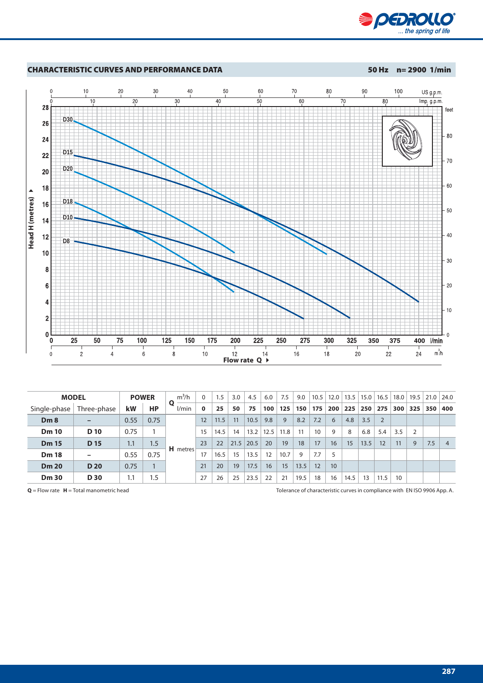



| <b>MODEL</b><br><b>POWER</b> |                 |      | $m^3/h$   |                 | 1.5      | 3.0  | 4.5  | 6.0  | 7.5  | 9.0  | 10.5 | 12.0 | 13.5 | 15.0 | 16.5 | 18.0 |     | $19.5$   21.0 | 24.0 |                |
|------------------------------|-----------------|------|-----------|-----------------|----------|------|------|------|------|------|------|------|------|------|------|------|-----|---------------|------|----------------|
| Single-phase                 | Three-phase     | kW   | <b>HP</b> | Ο<br>l/min      | $\bf{0}$ | 25   | 50   | 75   | 100  | 125  | 150  | 175  | 200  | 225  | 250  | 275  | 300 | 325           | 350  | 400            |
| Dm8                          |                 | 0.55 | 0.75      | <b>H</b> metres | 12       | 11.5 | 11   | 10.5 | 9.8  | 9    | 8.2  | 7.2  | 6    | 4.8  | 3.5  | 2    |     |               |      |                |
| <b>Dm 10</b>                 | D 10            | 0.75 |           |                 | 15       | 14.5 | 14   | 13.2 | 12.5 | 11.8 | 11   | 10   | 9    | 8    | 6.8  | 5.4  | 3.5 |               |      |                |
| <b>Dm 15</b>                 | D <sub>15</sub> | 1.1  | 1.5       |                 | 23       | 22   | 21.5 | 20.5 | 20   | 19   | 18   | 17   | 16   | 15   | 13.5 | 12   | 11  | 9             | 7.5  | $\overline{4}$ |
| <b>Dm 18</b>                 |                 | 0.55 | 0.75      |                 |          | 16.5 | 15   | 13.5 | 12   | 10.7 | 9    | 7.7  |      |      |      |      |     |               |      |                |
| <b>Dm 20</b>                 | <b>D20</b>      | 0.75 |           |                 | 21       | 20   | 19   | 17.5 | 16   | 15   | 13.5 | 12   | 10   |      |      |      |     |               |      |                |
| <b>Dm 30</b>                 | <b>D30</b>      | 1.1  | 1.5       |                 | 27       | 26   | 25   | 23.5 | 22   | 21   | 19.5 | 18   | 16   | 14.5 | 13   | 11.5 | 10  |               |      |                |

**Q** = Flow rate **H** = Total manometric head **Tolerance of characteristic curves** in compliance with EN ISO 9906 App. A.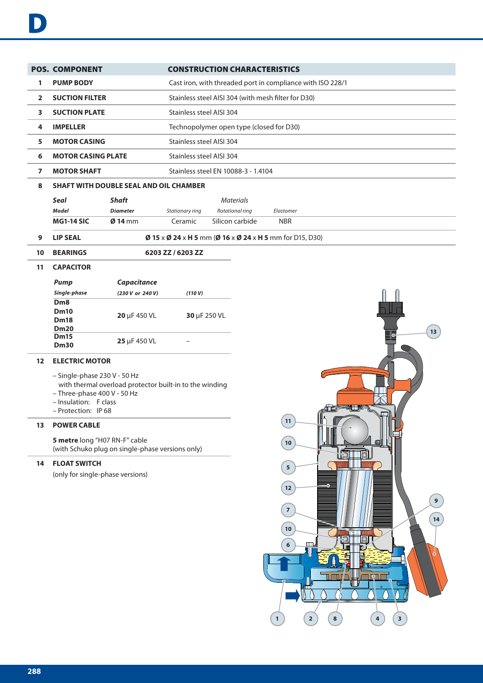|                | <b>POS. COMPONENT</b>                                                              |                 |                                                          | <b>CONSTRUCTION CHARACTERISTICS</b>                        |           |  |  |  |  |  |  |
|----------------|------------------------------------------------------------------------------------|-----------------|----------------------------------------------------------|------------------------------------------------------------|-----------|--|--|--|--|--|--|
| 1              | <b>PUMP BODY</b>                                                                   |                 |                                                          | Cast iron, with threaded port in compliance with ISO 228/1 |           |  |  |  |  |  |  |
| $\overline{2}$ | <b>SUCTION FILTER</b>                                                              |                 |                                                          | Stainless steel AISI 304 (with mesh filter for D30)        |           |  |  |  |  |  |  |
| 3              | <b>SUCTION PLATE</b>                                                               |                 |                                                          | Stainless steel AISI 304                                   |           |  |  |  |  |  |  |
| 4              | <b>IMPELLER</b>                                                                    |                 |                                                          | Technopolymer open type (closed for D30)                   |           |  |  |  |  |  |  |
| 5              | <b>MOTOR CASING</b>                                                                |                 |                                                          | Stainless steel AISI 304                                   |           |  |  |  |  |  |  |
| 6              | <b>MOTOR CASING PLATE</b>                                                          |                 |                                                          | Stainless steel AISI 304                                   |           |  |  |  |  |  |  |
| 7              | <b>MOTOR SHAFT</b>                                                                 |                 | Stainless steel EN 10088-3 - 1.4104                      |                                                            |           |  |  |  |  |  |  |
| 8              | <b>SHAFT WITH DOUBLE SEAL AND OIL CHAMBER</b>                                      |                 |                                                          |                                                            |           |  |  |  |  |  |  |
|                | <b>Seal</b>                                                                        | <b>Shaft</b>    |                                                          | <b>Materials</b>                                           |           |  |  |  |  |  |  |
|                | Model                                                                              | <b>Diameter</b> | Stationary ring                                          | Rotational ring                                            | Elastomer |  |  |  |  |  |  |
|                | Silicon carbide<br><b>MG1-14 SIC</b><br>$\emptyset$ 14 mm<br>Ceramic<br><b>NBR</b> |                 |                                                          |                                                            |           |  |  |  |  |  |  |
| 9              | <b>LIP SEAL</b>                                                                    |                 | Ø 15 x Ø 24 x H 5 mm (Ø 16 x Ø 24 x H 5 mm for D15, D30) |                                                            |           |  |  |  |  |  |  |
| 10             | <b>BEARINGS</b>                                                                    |                 | 6203 ZZ / 6203 ZZ                                        |                                                            |           |  |  |  |  |  |  |

#### **11 CAPACITOR**

| Pump                                                          | <b>Capacitance</b> |              |
|---------------------------------------------------------------|--------------------|--------------|
| Single-phase                                                  | (230 V or 240 V)   | (110 V)      |
| D <sub>m</sub> 8<br><b>Dm10</b><br><b>Dm18</b><br><b>Dm20</b> | 20 µF 450 VL       | 30 µF 250 VL |
| <b>Dm15</b><br><b>Dm30</b>                                    | 25 µF 450 VL       |              |

# **12 ELECTRIC MOTOR**

- Single-phase 230 V 50 Hz
	- with thermal overload protector built-in to the winding
- Three-phase 400 V 50 Hz
- Insulation: F class
- Protection: IP 68

### **13 POWER CABLE**

**5 metre** long "H07 RN-F" cable (with Schuko plug on single-phase versions only)

# **14 FLOAT SWITCH**

(only for single-phase versions)